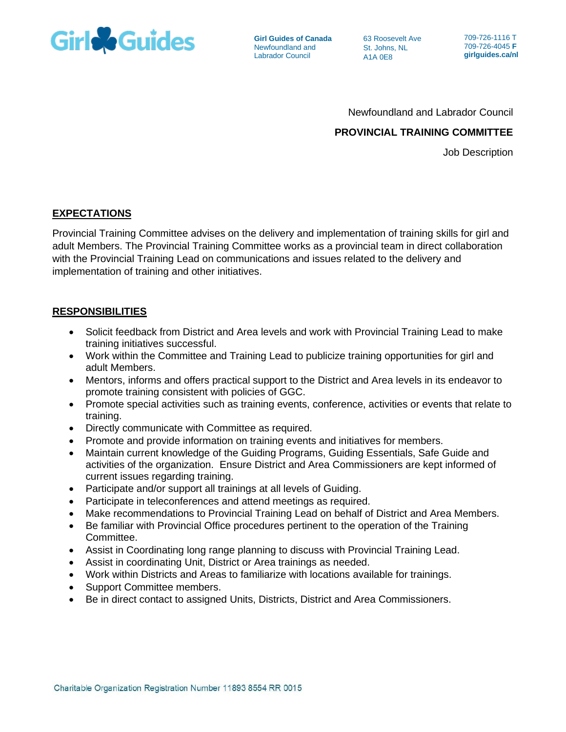

**Girl Guides of Canada** Newfoundland and Labrador Council

63 Roosevelt Ave St. Johns, NL A1A 0E8

709-726-1116 T 709-726-4045 **F girlguides.ca/nl**

Newfoundland and Labrador Council

# **PROVINCIAL TRAINING COMMITTEE**

Job Description

# **EXPECTATIONS**

Provincial Training Committee advises on the delivery and implementation of training skills for girl and adult Members. The Provincial Training Committee works as a provincial team in direct collaboration with the Provincial Training Lead on communications and issues related to the delivery and implementation of training and other initiatives.

# **RESPONSIBILITIES**

- Solicit feedback from District and Area levels and work with Provincial Training Lead to make training initiatives successful.
- Work within the Committee and Training Lead to publicize training opportunities for girl and adult Members.
- Mentors, informs and offers practical support to the District and Area levels in its endeavor to promote training consistent with policies of GGC.
- Promote special activities such as training events, conference, activities or events that relate to training.
- Directly communicate with Committee as required.
- Promote and provide information on training events and initiatives for members.
- Maintain current knowledge of the Guiding Programs, Guiding Essentials, Safe Guide and activities of the organization. Ensure District and Area Commissioners are kept informed of current issues regarding training.
- Participate and/or support all trainings at all levels of Guiding.
- Participate in teleconferences and attend meetings as required.
- Make recommendations to Provincial Training Lead on behalf of District and Area Members.
- Be familiar with Provincial Office procedures pertinent to the operation of the Training Committee.
- Assist in Coordinating long range planning to discuss with Provincial Training Lead.
- Assist in coordinating Unit, District or Area trainings as needed.
- Work within Districts and Areas to familiarize with locations available for trainings.
- Support Committee members.
- Be in direct contact to assigned Units, Districts, District and Area Commissioners.